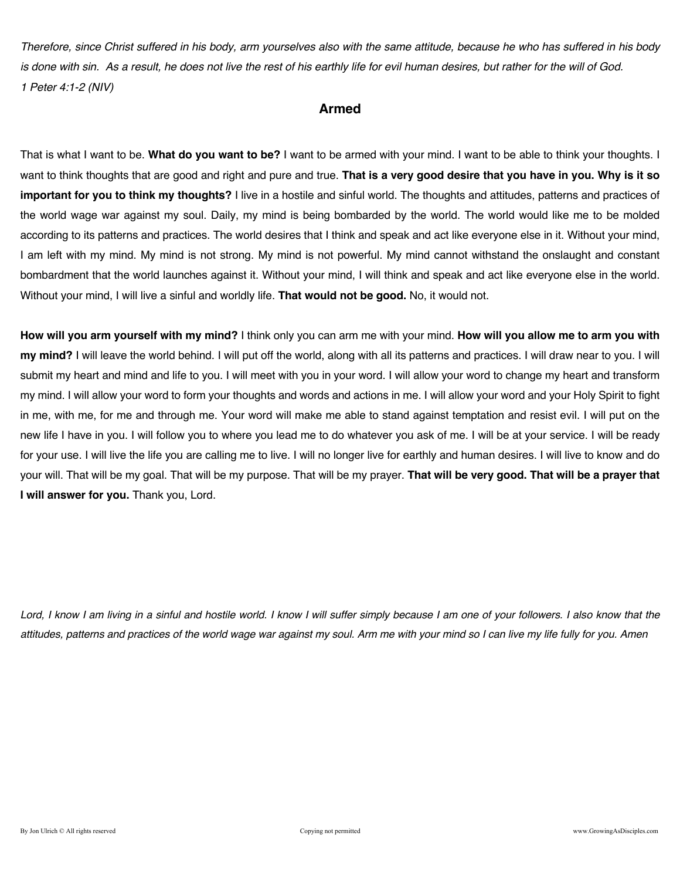*Therefore, since Christ suffered in his body, arm yourselves also with the same attitude, because he who has suffered in his body is done with sin. As a result, he does not live the rest of his earthly life for evil human desires, but rather for the will of God. 1 Peter 4:1-2 (NIV)* 

### **Armed**

That is what I want to be. **What do you want to be?** I want to be armed with your mind. I want to be able to think your thoughts. I want to think thoughts that are good and right and pure and true. **That is a very good desire that you have in you. Why is it so important for you to think my thoughts?** I live in a hostile and sinful world. The thoughts and attitudes, patterns and practices of the world wage war against my soul. Daily, my mind is being bombarded by the world. The world would like me to be molded according to its patterns and practices. The world desires that I think and speak and act like everyone else in it. Without your mind, I am left with my mind. My mind is not strong. My mind is not powerful. My mind cannot withstand the onslaught and constant bombardment that the world launches against it. Without your mind, I will think and speak and act like everyone else in the world. Without your mind, I will live a sinful and worldly life. **That would not be good.** No, it would not.

**How will you arm yourself with my mind?** I think only you can arm me with your mind. **How will you allow me to arm you with my mind?** I will leave the world behind. I will put off the world, along with all its patterns and practices. I will draw near to you. I will submit my heart and mind and life to you. I will meet with you in your word. I will allow your word to change my heart and transform my mind. I will allow your word to form your thoughts and words and actions in me. I will allow your word and your Holy Spirit to fight in me, with me, for me and through me. Your word will make me able to stand against temptation and resist evil. I will put on the new life I have in you. I will follow you to where you lead me to do whatever you ask of me. I will be at your service. I will be ready for your use. I will live the life you are calling me to live. I will no longer live for earthly and human desires. I will live to know and do your will. That will be my goal. That will be my purpose. That will be my prayer. **That will be very good. That will be a prayer that I will answer for you.** Thank you, Lord.

Lord, I know I am living in a sinful and hostile world. I know I will suffer simply because I am one of your followers. I also know that the *attitudes, patterns and practices of the world wage war against my soul. Arm me with your mind so I can live my life fully for you. Amen*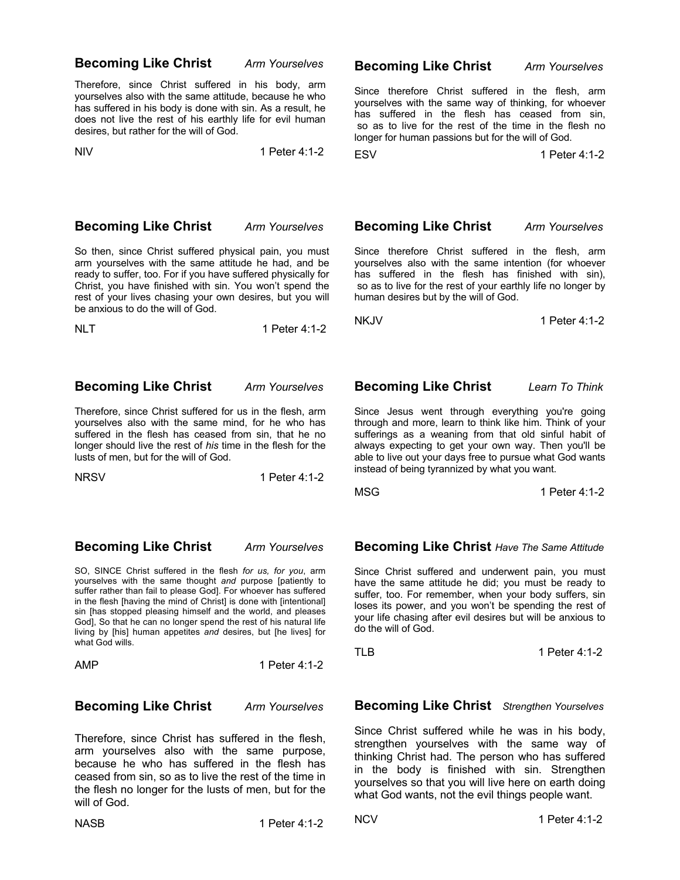### **Becoming Like Christ** *Arm Yourselves*

Therefore, since Christ suffered in his body, arm yourselves also with the same attitude, because he who has suffered in his body is done with sin. As a result, he does not live the rest of his earthly life for evil human desires, but rather for the will of God.

NIV 1 Peter 4:1-2

### **Becoming Like Christ** *Arm Yourselves*

Since therefore Christ suffered in the flesh, arm yourselves with the same way of thinking, for whoever has suffered in the flesh has ceased from sin, so as to live for the rest of the time in the flesh no longer for human passions but for the will of God.

ESV 1 Peter 4:1-2

**Becoming Like Christ** *Arm Yourselves*

So then, since Christ suffered physical pain, you must arm yourselves with the same attitude he had, and be ready to suffer, too. For if you have suffered physically for Christ, you have finished with sin. You won't spend the rest of your lives chasing your own desires, but you will be anxious to do the will of God.

NLT 1 Peter 4:1-2

### **Becoming Like Christ** *Arm Yourselves*

Therefore, since Christ suffered for us in the flesh, arm yourselves also with the same mind, for he who has suffered in the flesh has ceased from sin, that he no longer should live the rest of *his* time in the flesh for the lusts of men, but for the will of God.

NRSV1 Peter 4:1-2

**Becoming Like Christ** *Arm Yourselves*

SO, SINCE Christ suffered in the flesh *for us, for you*, arm yourselves with the same thought *and* purpose [patiently to suffer rather than fail to please God]. For whoever has suffered in the flesh [having the mind of Christ] is done with [intentional] sin [has stopped pleasing himself and the world, and pleases God], So that he can no longer spend the rest of his natural life living by [his] human appetites *and* desires, but [he lives] for what God wills.

AMP 1 Peter 4:1-2

### **Becoming Like Christ** *Arm Yourselves*

Therefore, since Christ has suffered in the flesh, arm yourselves also with the same purpose, because he who has suffered in the flesh has ceased from sin, so as to live the rest of the time in the flesh no longer for the lusts of men, but for the will of God.

### **Becoming Like Christ** *Arm Yourselves*

Since therefore Christ suffered in the flesh, arm yourselves also with the same intention (for whoever has suffered in the flesh has finished with sin), so as to live for the rest of your earthly life no longer by human desires but by the will of God.

NKJV 1 Peter 4:1-2

### **Becoming Like Christ** *Learn To Think*

Since Jesus went through everything you're going through and more, learn to think like him. Think of your sufferings as a weaning from that old sinful habit of always expecting to get your own way. Then you'll be able to live out your days free to pursue what God wants instead of being tyrannized by what you want.

MSG 1 Peter 4:1-2

**Becoming Like Christ** *Have The Same Attitude*

Since Christ suffered and underwent pain, you must have the same attitude he did; you must be ready to suffer, too. For remember, when your body suffers, sin loses its power, and you won't be spending the rest of your life chasing after evil desires but will be anxious to do the will of God.

TLB 1 Peter 4:1-2

**Becoming Like Christ** *Strengthen Yourselves*

Since Christ suffered while he was in his body, strengthen yourselves with the same way of thinking Christ had. The person who has suffered in the body is finished with sin. Strengthen yourselves so that you will live here on earth doing what God wants, not the evil things people want.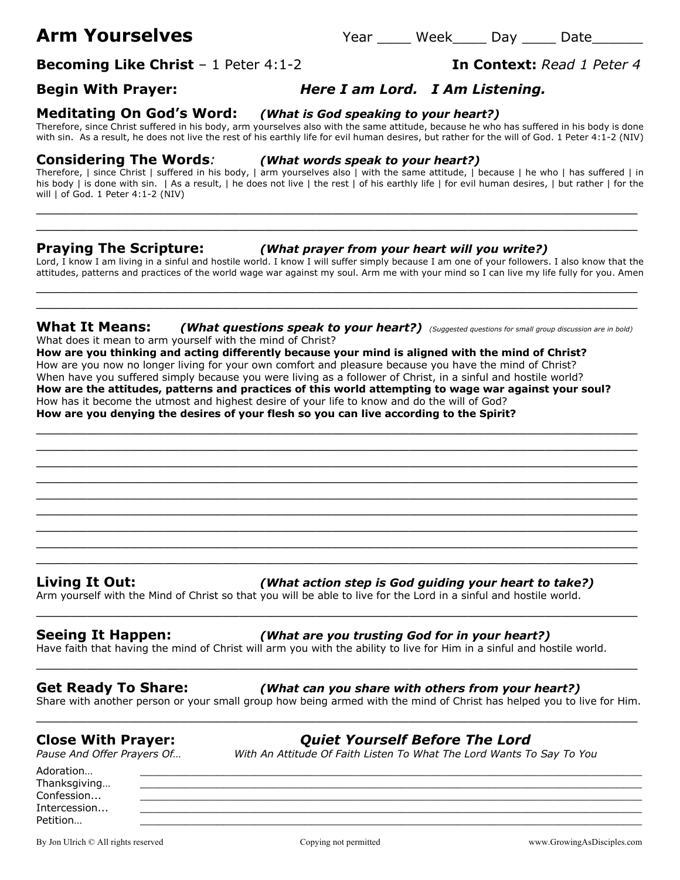# **Arm Yourselves** The Year Week Day Date

**Becoming Like Christ** – 1 Peter 4:1-2 **In Context:** *Read 1 Peter 4*

## **Begin With Prayer:** *Here I am Lord. I Am Listening.*

**Meditating On God's Word:** *(What is God speaking to your heart?)*Therefore, since Christ suffered in his body, arm yourselves also with the same attitude, because he who has suffered in his body is done

### **Considering The Words***: (What words speak to your heart?)*

Therefore, | since Christ | suffered in his body, | arm yourselves also | with the same attitude, | because | he who | has suffered | in his body | is done with sin. | As a result, | he does not live | the rest | of his earthly life | for evil human desires, | but rather | for the will | of God. 1 Peter 4:1-2 (NIV)

### **Praying The Scripture:** *(What prayer from your heart will you write?)*

Lord, I know I am living in a sinful and hostile world. I know I will suffer simply because I am one of your followers. I also know that the attitudes, patterns and practices of the world wage war against my soul. Arm me with your mind so I can live my life fully for you. Amen

 $\_$  . The contribution of the contribution of  $\mathcal{L}_1$  ,  $\mathcal{L}_2$  ,  $\mathcal{L}_3$  ,  $\mathcal{L}_4$  ,  $\mathcal{L}_5$  ,  $\mathcal{L}_6$  ,  $\mathcal{L}_7$  ,  $\mathcal{L}_8$  ,  $\mathcal{L}_9$  ,  $\mathcal{L}_1$  ,  $\mathcal{L}_2$  ,  $\mathcal{L}_3$  ,  $\mathcal{L}_5$  ,  $\mathcal{L}_6$  ,  $\mathcal{L}_$  $\_$  , and the set of the set of the set of the set of the set of the set of the set of the set of the set of the set of the set of the set of the set of the set of the set of the set of the set of the set of the set of th

\_\_\_\_\_\_\_\_\_\_\_\_\_\_\_\_\_\_\_\_\_\_\_\_\_\_\_\_\_\_\_\_\_\_\_\_\_\_\_\_\_\_\_\_\_\_\_\_\_\_\_\_\_\_\_\_\_\_\_\_\_\_\_\_\_\_\_\_\_\_\_

### **What It Means:** *(What questions speak to your heart?) (Suggested questions for small group discussion are in bold)*

What does it mean to arm yourself with the mind of Christ? **How are you thinking and acting differently because your mind is aligned with the mind of Christ?** How are you now no longer living for your own comfort and pleasure because you have the mind of Christ? When have you suffered simply because you were living as a follower of Christ, in a sinful and hostile world? **How are the attitudes, patterns and practices of this world attempting to wage war against your soul?** How has it become the utmost and highest desire of your life to know and do the will of God? **How are you denying the desires of your flesh so you can live according to the Spirit?**

 $\_$  , and the contribution of the contribution of  $\mathcal{L}$  , and  $\mathcal{L}$  , and  $\mathcal{L}$  , and  $\mathcal{L}$  , and  $\mathcal{L}$  , and  $\mathcal{L}$  , and  $\mathcal{L}$  , and  $\mathcal{L}$  , and  $\mathcal{L}$  , and  $\mathcal{L}$  , and  $\mathcal{L}$  , and  $\mathcal{L$  $\_$  . The contribution of the contribution of  $\mathcal{L}_1$  ,  $\mathcal{L}_2$  ,  $\mathcal{L}_3$  ,  $\mathcal{L}_4$  ,  $\mathcal{L}_5$  ,  $\mathcal{L}_6$  ,  $\mathcal{L}_7$  ,  $\mathcal{L}_8$  ,  $\mathcal{L}_9$  ,  $\mathcal{L}_1$  ,  $\mathcal{L}_2$  ,  $\mathcal{L}_3$  ,  $\mathcal{L}_5$  ,  $\mathcal{L}_6$  ,  $\mathcal{L}_$ \_\_\_\_\_\_\_\_\_\_\_\_\_\_\_\_\_\_\_\_\_\_\_\_\_\_\_\_\_\_\_\_\_\_\_\_\_\_\_\_\_\_\_\_\_\_\_\_\_\_\_\_\_\_\_\_\_\_\_\_\_\_\_\_\_\_\_\_\_\_\_  $\_$  , and the contribution of the contribution of  $\mathcal{L}$  , and  $\mathcal{L}$  , and  $\mathcal{L}$  , and  $\mathcal{L}$  , and  $\mathcal{L}$  , and  $\mathcal{L}$  , and  $\mathcal{L}$  , and  $\mathcal{L}$  , and  $\mathcal{L}$  , and  $\mathcal{L}$  , and  $\mathcal{L}$  , and  $\mathcal{L$ 

\_\_\_\_\_\_\_\_\_\_\_\_\_\_\_\_\_\_\_\_\_\_\_\_\_\_\_\_\_\_\_\_\_\_\_\_\_\_\_\_\_\_\_\_\_\_\_\_\_\_\_\_\_\_\_\_\_\_\_\_\_\_\_\_\_\_\_\_\_\_\_

\_\_\_\_\_\_\_\_\_\_\_\_\_\_\_\_\_\_\_\_\_\_\_\_\_\_\_\_\_\_\_\_\_\_\_\_\_\_\_\_\_\_\_\_\_\_\_\_\_\_\_\_\_\_\_\_\_\_\_\_\_\_\_\_\_\_\_\_\_\_\_

### **Living It Out:** *(What action step is God guiding your heart to take?)*

Arm yourself with the Mind of Christ so that you will be able to live for the Lord in a sinful and hostile world.

### **Seeing It Happen:** *(What are you trusting God for in your heart?)*

Have faith that having the mind of Christ will arm you with the ability to live for Him in a sinful and hostile world.

Share with another person or your small group how being armed with the mind of Christ has helped you to live for Him.

Adoration… \_\_\_\_\_\_\_\_\_\_\_\_\_\_\_\_\_\_\_\_\_\_\_\_\_\_\_\_\_\_\_\_\_\_\_\_\_\_\_\_\_\_\_\_\_\_\_\_\_\_\_\_\_\_\_\_\_\_\_\_\_\_\_\_\_\_\_\_\_\_\_\_\_\_\_\_\_\_\_ Thanksgiving...  $\textsf{Confession...}\qquad \qquad \underline{\hspace{2.5cm}}$ Intercession...

By Jon Ulrich © All rights reserved examples are compared comparing comparing the comparing of permitted www.GrowingAsDisciples.com

with sin. As a result, he does not live the rest of his earthly life for evil human desires, but rather for the will of God. 1 Peter 4:1-2 (NIV)

\_\_\_\_\_\_\_\_\_\_\_\_\_\_\_\_\_\_\_\_\_\_\_\_\_\_\_\_\_\_\_\_\_\_\_\_\_\_\_\_\_\_\_\_\_\_\_\_\_\_\_\_\_\_\_\_\_\_\_\_\_\_\_\_\_\_\_\_\_\_\_ \_\_\_\_\_\_\_\_\_\_\_\_\_\_\_\_\_\_\_\_\_\_\_\_\_\_\_\_\_\_\_\_\_\_\_\_\_\_\_\_\_\_\_\_\_\_\_\_\_\_\_\_\_\_\_\_\_\_\_\_\_\_\_\_\_\_\_\_\_\_\_

**Close With Prayer:** *Quiet Yourself Before The Lord Pause And Offer Prayers Of… With An Attitude Of Faith Listen To What The Lord Wants To Say To You*

\_\_\_\_\_\_\_\_\_\_\_\_\_\_\_\_\_\_\_\_\_\_\_\_\_\_\_\_\_\_\_\_\_\_\_\_\_\_\_\_\_\_\_\_\_\_\_\_\_\_\_\_\_\_\_\_\_\_\_\_\_\_\_\_\_\_\_\_\_\_\_

 $\_$  , and the contribution of the contribution of  $\mathcal{L}$  , and  $\mathcal{L}$  , and  $\mathcal{L}$  , and  $\mathcal{L}$  , and  $\mathcal{L}$  , and  $\mathcal{L}$  , and  $\mathcal{L}$  , and  $\mathcal{L}$  , and  $\mathcal{L}$  , and  $\mathcal{L}$  , and  $\mathcal{L}$  , and  $\mathcal{L$ 



Petition… \_\_\_\_\_\_\_\_\_\_\_\_\_\_\_\_\_\_\_\_\_\_\_\_\_\_\_\_\_\_\_\_\_\_\_\_\_\_\_\_\_\_\_\_\_\_\_\_\_\_\_\_\_\_\_\_\_\_\_\_\_\_\_\_\_\_\_\_\_\_\_\_\_\_\_\_\_\_\_

 $\_$  , and the contribution of the contribution of  $\mathcal{L}$  , and  $\mathcal{L}$  , and  $\mathcal{L}$  , and  $\mathcal{L}$  , and  $\mathcal{L}$  , and  $\mathcal{L}$  , and  $\mathcal{L}$  , and  $\mathcal{L}$  , and  $\mathcal{L}$  , and  $\mathcal{L}$  , and  $\mathcal{L}$  , and  $\mathcal{L$  $\_$  . The contribution of the contribution of  $\mathcal{L}_1$  ,  $\mathcal{L}_2$  ,  $\mathcal{L}_3$  ,  $\mathcal{L}_4$  ,  $\mathcal{L}_5$  ,  $\mathcal{L}_6$  ,  $\mathcal{L}_7$  ,  $\mathcal{L}_8$  ,  $\mathcal{L}_9$  ,  $\mathcal{L}_1$  ,  $\mathcal{L}_2$  ,  $\mathcal{L}_3$  ,  $\mathcal{L}_5$  ,  $\mathcal{L}_6$  ,  $\mathcal{L}_$